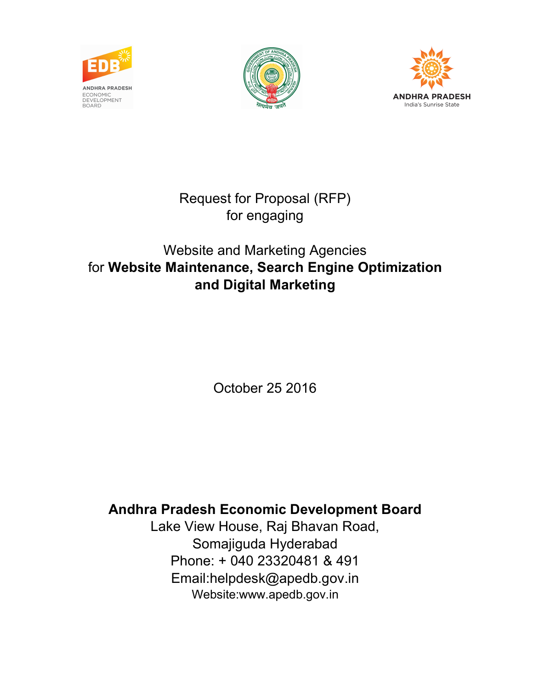





Request for Proposal (RFP) for engaging

# Website and Marketing Agencies for Website Maintenance, Search Engine Optimization and Digital Marketing

October 25 2016

# Andhra Pradesh Economic Development Board

Lake View House, Raj Bhavan Road, Somajiguda Hyderabad Phone: + 040 23320481 & 491 Email:helpdesk@apedb.gov.in Website:www.apedb.gov.in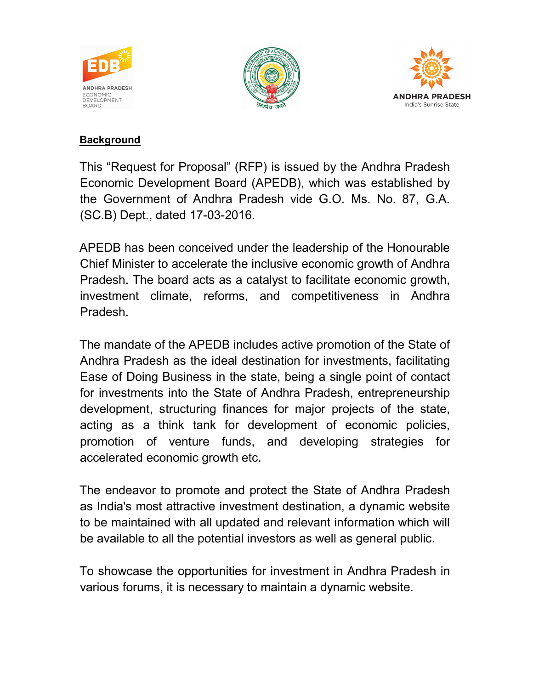





#### **Background**

This "Request for Proposal" (RFP) is issued by the Andhra Pradesh Economic Development Board (APEDB), which was established by the Government of Andhra Pradesh vide G.O. Ms. No. 87, G.A. (SC.B) Dept., dated 17-03-2016.

APEDB has been conceived under the leadership of the Honourable Chief Minister to accelerate the inclusive economic growth of Andhra Pradesh. The board acts as a catalyst to facilitate economic growth, investment climate, reforms, and competitiveness in Andhra Pradesh.

The mandate of the APEDB includes active promotion of the State of Andhra Pradesh as the ideal destination for investments, facilitating Ease of Doing Business in the state, being a single point of contact for investments into the State of Andhra Pradesh, entrepreneurship development, structuring finances for major projects of the state, acting as a think tank for development of economic policies, promotion of venture funds, and developing strategies for accelerated economic growth etc.

The endeavor to promote and protect the State of Andhra Pradesh as India's most attractive investment destination, a dynamic website to be maintained with all updated and relevant information which will be available to all the potential investors as well as general public.

To showcase the opportunities for investment in Andhra Pradesh in various forums, it is necessary to maintain a dynamic website.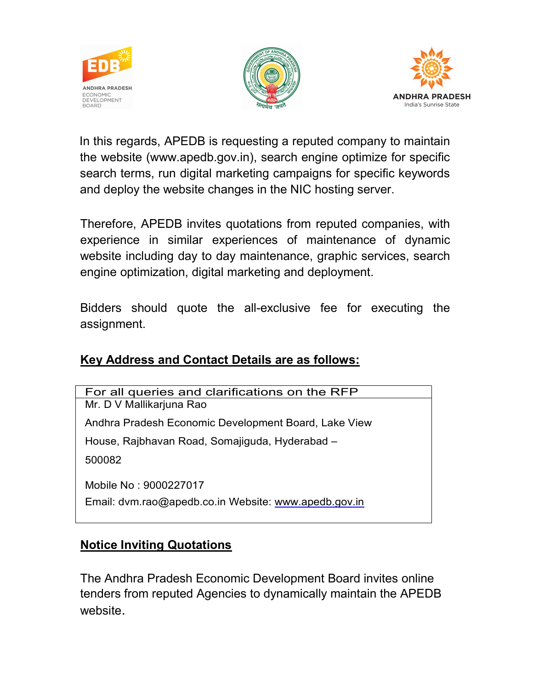





In this regards, APEDB is requesting a reputed company to maintain the website (www.apedb.gov.in), search engine optimize for specific search terms, run digital marketing campaigns for specific keywords and deploy the website changes in the NIC hosting server.

Therefore, APEDB invites quotations from reputed companies, with experience in similar experiences of maintenance of dynamic website including day to day maintenance, graphic services, search engine optimization, digital marketing and deployment.

Bidders should quote the all-exclusive fee for executing the assignment.

#### Key Address and Contact Details are as follows:

For all queries and clarifications on the RFP Mr. D V Mallikarjuna Rao Andhra Pradesh Economic Development Board, Lake View House, Rajbhavan Road, Somajiguda, Hyderabad – 500082 Mobile No : 9000227017 Email: dvm.rao@apedb.co.in Website: www.apedb.gov.in

# Notice Inviting Quotations

The Andhra Pradesh Economic Development Board invites online tenders from reputed Agencies to dynamically maintain the APEDB website.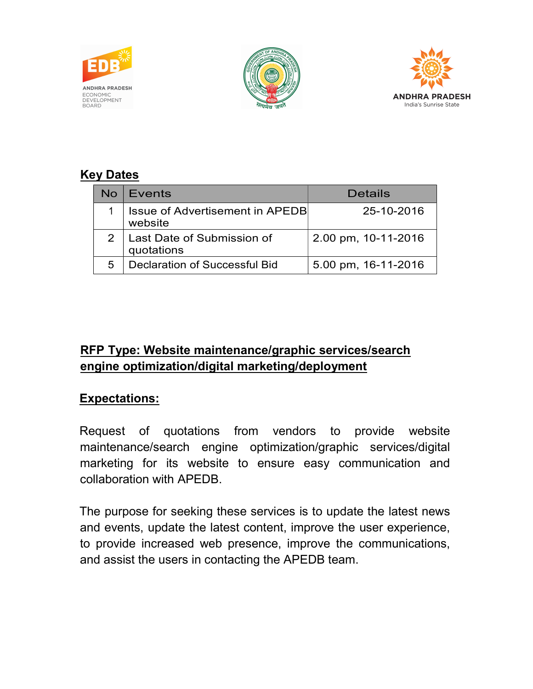





# Key Dates

| No | Events                                            | Details             |
|----|---------------------------------------------------|---------------------|
|    | <b>Issue of Advertisement in APEDB</b><br>website | 25-10-2016          |
|    | Last Date of Submission of<br>quotations          | 2.00 pm, 10-11-2016 |
| 5  | Declaration of Successful Bid                     | 5.00 pm, 16-11-2016 |

# RFP Type: Website maintenance/graphic services/search engine optimization/digital marketing/deployment

#### Expectations:

Request of quotations from vendors to provide website maintenance/search engine optimization/graphic services/digital marketing for its website to ensure easy communication and collaboration with APEDB.

The purpose for seeking these services is to update the latest news and events, update the latest content, improve the user experience, to provide increased web presence, improve the communications, and assist the users in contacting the APEDB team.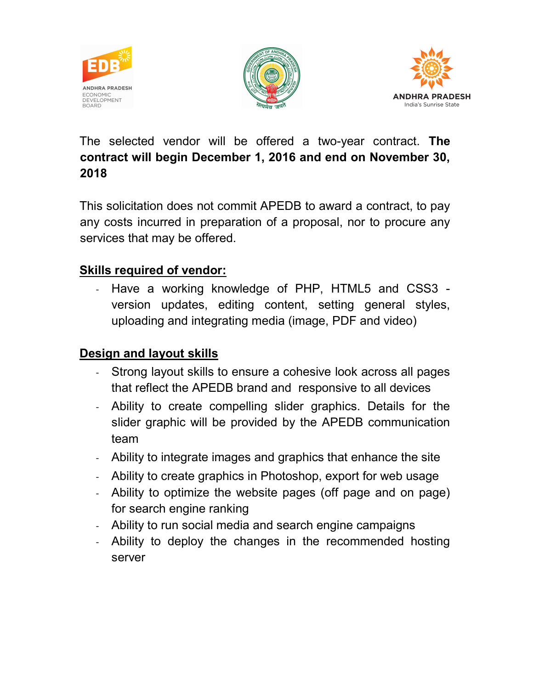





The selected vendor will be offered a two-year contract. The contract will begin December 1, 2016 and end on November 30, 2018

This solicitation does not commit APEDB to award a contract, to pay any costs incurred in preparation of a proposal, nor to procure any services that may be offered.

#### Skills required of vendor:

- Have a working knowledge of PHP, HTML5 and CSS3 version updates, editing content, setting general styles, uploading and integrating media (image, PDF and video)

#### Design and layout skills

- Strong layout skills to ensure a cohesive look across all pages that reflect the APEDB brand and responsive to all devices
- Ability to create compelling slider graphics. Details for the slider graphic will be provided by the APEDB communication team
- Ability to integrate images and graphics that enhance the site
- Ability to create graphics in Photoshop, export for web usage
- Ability to optimize the website pages (off page and on page) for search engine ranking
- Ability to run social media and search engine campaigns
- Ability to deploy the changes in the recommended hosting server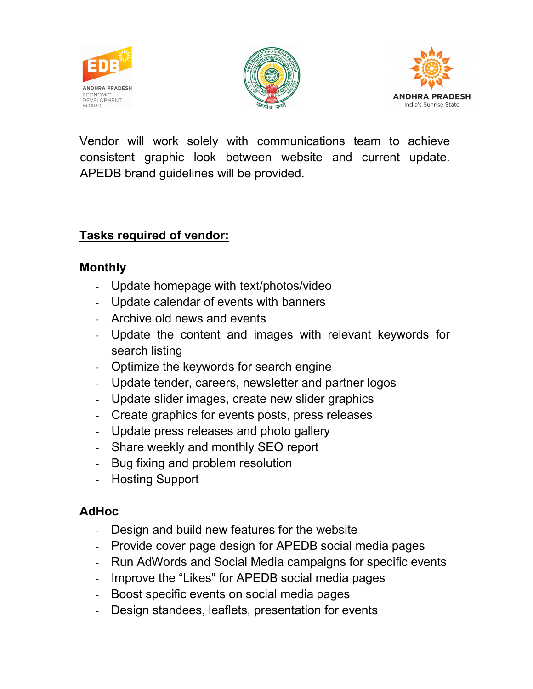





Vendor will work solely with communications team to achieve consistent graphic look between website and current update. APEDB brand guidelines will be provided.

#### Tasks required of vendor:

#### Monthly

- Update homepage with text/photos/video
- Update calendar of events with banners
- Archive old news and events
- Update the content and images with relevant keywords for search listing
- Optimize the keywords for search engine
- Update tender, careers, newsletter and partner logos
- Update slider images, create new slider graphics
- Create graphics for events posts, press releases
- Update press releases and photo gallery
- Share weekly and monthly SEO report
- Bug fixing and problem resolution
- Hosting Support

# AdHoc

- Design and build new features for the website
- Provide cover page design for APEDB social media pages
- Run AdWords and Social Media campaigns for specific events
- Improve the "Likes" for APEDB social media pages
- Boost specific events on social media pages
- Design standees, leaflets, presentation for events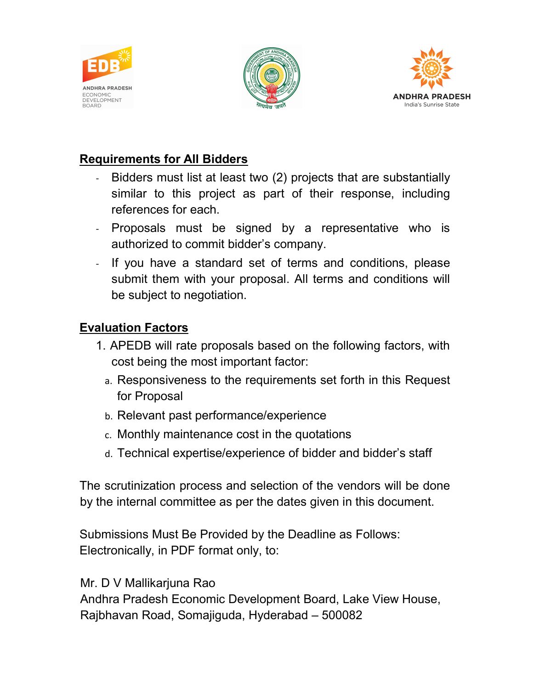





# Requirements for All Bidders

- Bidders must list at least two (2) projects that are substantially similar to this project as part of their response, including references for each.
- Proposals must be signed by a representative who is authorized to commit bidder's company.
- If you have a standard set of terms and conditions, please submit them with your proposal. All terms and conditions will be subject to negotiation.

### Evaluation Factors

- 1. APEDB will rate proposals based on the following factors, with cost being the most important factor:
	- a. Responsiveness to the requirements set forth in this Request for Proposal
	- b. Relevant past performance/experience
	- c. Monthly maintenance cost in the quotations
	- d. Technical expertise/experience of bidder and bidder's staff

The scrutinization process and selection of the vendors will be done by the internal committee as per the dates given in this document.

Submissions Must Be Provided by the Deadline as Follows: Electronically, in PDF format only, to:

Mr. D V Mallikarjuna Rao

Andhra Pradesh Economic Development Board, Lake View House, Rajbhavan Road, Somajiguda, Hyderabad – 500082